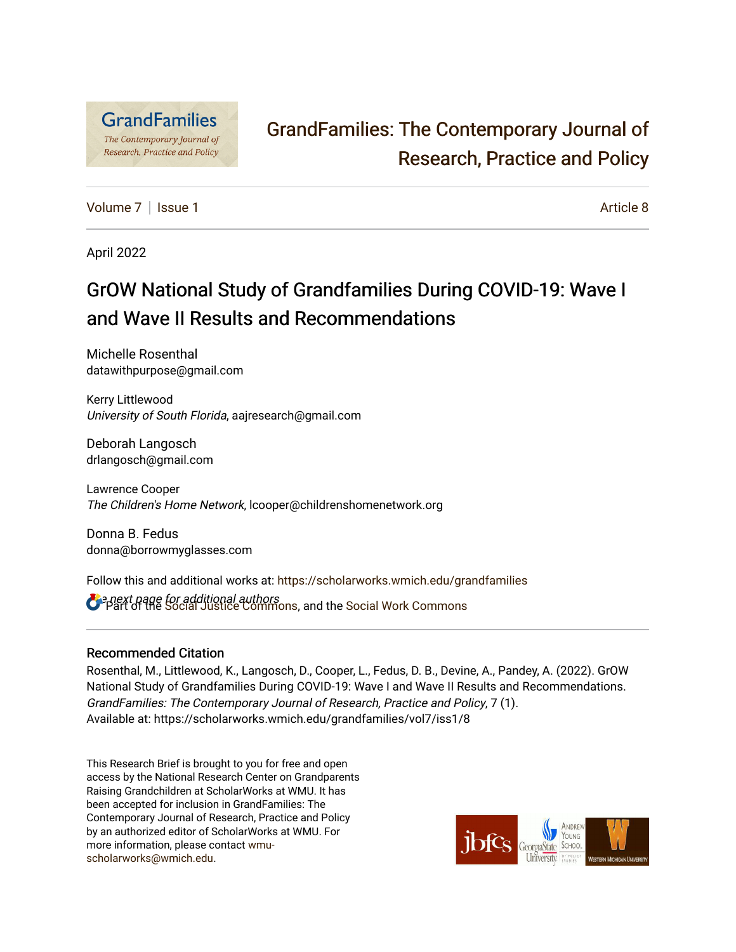

# [GrandFamilies: The Contemporary Journal of](https://scholarworks.wmich.edu/grandfamilies)  [Research, Practice and Policy](https://scholarworks.wmich.edu/grandfamilies)

[Volume 7](https://scholarworks.wmich.edu/grandfamilies/vol7) | [Issue 1](https://scholarworks.wmich.edu/grandfamilies/vol7/iss1) Article 8

April 2022

# GrOW National Study of Grandfamilies During COVID-19: Wave I and Wave II Results and Recommendations

Michelle Rosenthal datawithpurpose@gmail.com

Kerry Littlewood University of South Florida, aajresearch@gmail.com

Deborah Langosch drlangosch@gmail.com

Lawrence Cooper The Children's Home Network, lcooper@childrenshomenetwork.org

Donna B. Fedus donna@borrowmyglasses.com

Follow this and additional works at: [https://scholarworks.wmich.edu/grandfamilies](https://scholarworks.wmich.edu/grandfamilies?utm_source=scholarworks.wmich.edu%2Fgrandfamilies%2Fvol7%2Fiss1%2F8&utm_medium=PDF&utm_campaign=PDFCoverPages)

**C** a next page for additional authors<br>**C** Part of the [Social Justice Commons,](http://network.bepress.com/hgg/discipline/1432?utm_source=scholarworks.wmich.edu%2Fgrandfamilies%2Fvol7%2Fiss1%2F8&utm_medium=PDF&utm_campaign=PDFCoverPages) and the Social Work Commons

#### Recommended Citation

Rosenthal, M., Littlewood, K., Langosch, D., Cooper, L., Fedus, D. B., Devine, A., Pandey, A. (2022). GrOW National Study of Grandfamilies During COVID-19: Wave I and Wave II Results and Recommendations. GrandFamilies: The Contemporary Journal of Research, Practice and Policy, 7 (1). Available at: https://scholarworks.wmich.edu/grandfamilies/vol7/iss1/8

This Research Brief is brought to you for free and open access by the National Research Center on Grandparents Raising Grandchildren at ScholarWorks at WMU. It has been accepted for inclusion in GrandFamilies: The Contemporary Journal of Research, Practice and Policy by an authorized editor of ScholarWorks at WMU. For more information, please contact [wmu](mailto:wmu-scholarworks@wmich.edu)[scholarworks@wmich.edu.](mailto:wmu-scholarworks@wmich.edu)

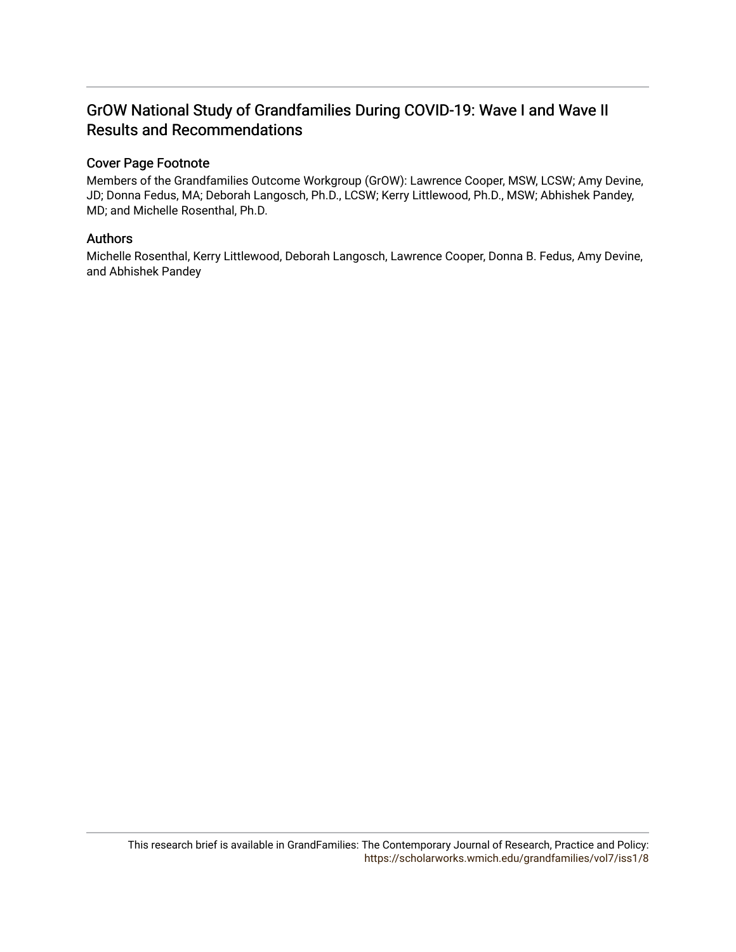# GrOW National Study of Grandfamilies During COVID-19: Wave I and Wave II Results and Recommendations

#### Cover Page Footnote

Members of the Grandfamilies Outcome Workgroup (GrOW): Lawrence Cooper, MSW, LCSW; Amy Devine, JD; Donna Fedus, MA; Deborah Langosch, Ph.D., LCSW; Kerry Littlewood, Ph.D., MSW; Abhishek Pandey, MD; and Michelle Rosenthal, Ph.D.

#### Authors

Michelle Rosenthal, Kerry Littlewood, Deborah Langosch, Lawrence Cooper, Donna B. Fedus, Amy Devine, and Abhishek Pandey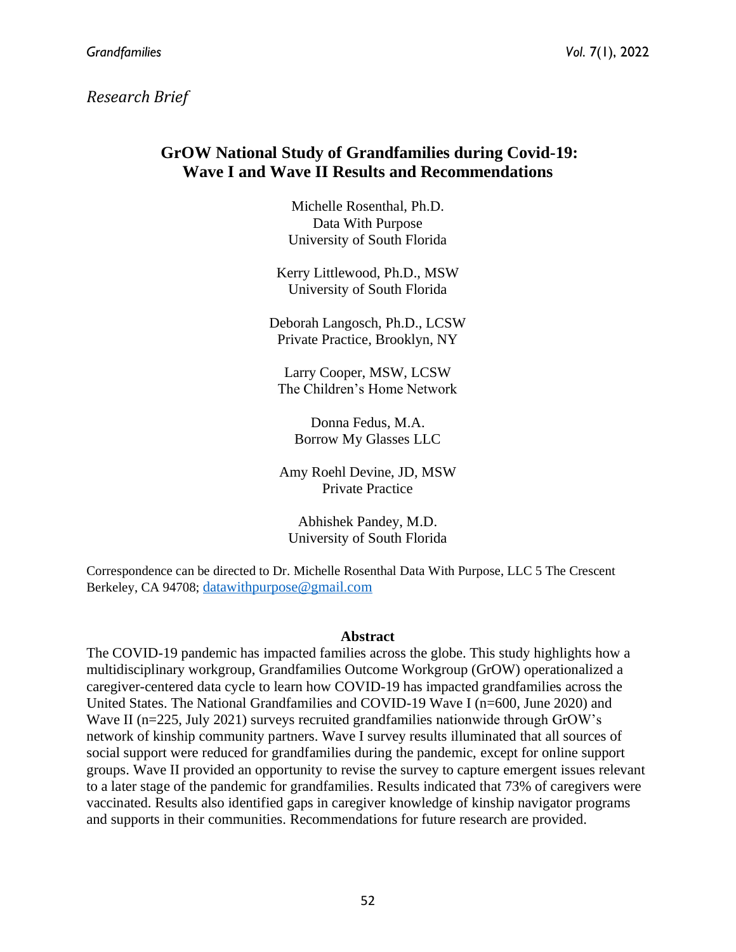*Research Brief*

# **GrOW National Study of Grandfamilies during Covid-19: Wave I and Wave II Results and Recommendations**

Michelle Rosenthal, Ph.D. Data With Purpose University of South Florida

Kerry Littlewood, Ph.D., MSW University of South Florida

Deborah Langosch, Ph.D., LCSW Private Practice, Brooklyn, NY

Larry Cooper, MSW, LCSW The Children's Home Network

Donna Fedus, M.A. Borrow My Glasses LLC

Amy Roehl Devine, JD, MSW Private Practice

Abhishek Pandey, M.D. University of South Florida

Correspondence can be directed to Dr. Michelle Rosenthal Data With Purpose, LLC 5 The Crescent Berkeley, CA 94708; [datawithpurpose@gmail.com](mailto:datawithpurpose@gmail.com)

#### **Abstract**

The COVID-19 pandemic has impacted families across the globe. This study highlights how a multidisciplinary workgroup, Grandfamilies Outcome Workgroup (GrOW) operationalized a caregiver-centered data cycle to learn how COVID-19 has impacted grandfamilies across the United States. The National Grandfamilies and COVID-19 Wave I (n=600, June 2020) and Wave II (n=225, July 2021) surveys recruited grandfamilies nationwide through GrOW's network of kinship community partners. Wave I survey results illuminated that all sources of social support were reduced for grandfamilies during the pandemic, except for online support groups. Wave II provided an opportunity to revise the survey to capture emergent issues relevant to a later stage of the pandemic for grandfamilies. Results indicated that 73% of caregivers were vaccinated. Results also identified gaps in caregiver knowledge of kinship navigator programs and supports in their communities. Recommendations for future research are provided.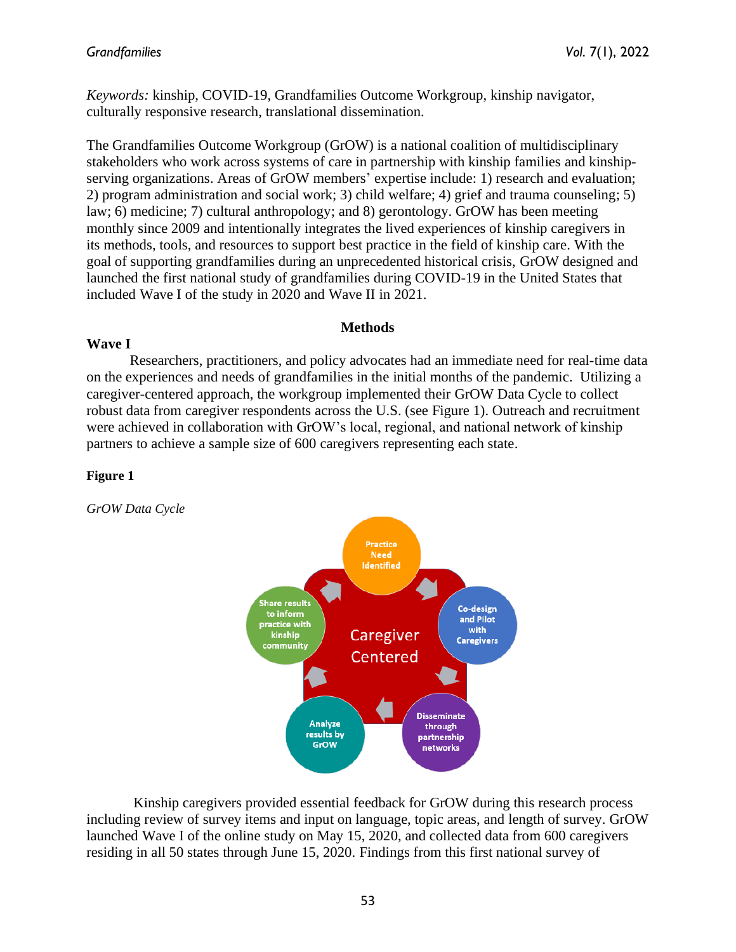*Keywords:* kinship, COVID-19, Grandfamilies Outcome Workgroup, kinship navigator, culturally responsive research, translational dissemination.

The Grandfamilies Outcome Workgroup (GrOW) is a national coalition of multidisciplinary stakeholders who work across systems of care in partnership with kinship families and kinshipserving organizations. Areas of GrOW members' expertise include: 1) research and evaluation; 2) program administration and social work; 3) child welfare; 4) grief and trauma counseling; 5) law; 6) medicine; 7) cultural anthropology; and 8) gerontology. GrOW has been meeting monthly since 2009 and intentionally integrates the lived experiences of kinship caregivers in its methods, tools, and resources to support best practice in the field of kinship care. With the goal of supporting grandfamilies during an unprecedented historical crisis, GrOW designed and launched the first national study of grandfamilies during COVID-19 in the United States that included Wave I of the study in 2020 and Wave II in 2021.

#### **Methods**

#### **Wave I**

Researchers, practitioners, and policy advocates had an immediate need for real-time data on the experiences and needs of grandfamilies in the initial months of the pandemic. Utilizing a caregiver-centered approach, the workgroup implemented their GrOW Data Cycle to collect robust data from caregiver respondents across the U.S. (see Figure 1). Outreach and recruitment were achieved in collaboration with GrOW's local, regional, and national network of kinship partners to achieve a sample size of 600 caregivers representing each state.

#### **Figure 1**

*GrOW Data Cycle*



Kinship caregivers provided essential feedback for GrOW during this research process including review of survey items and input on language, topic areas, and length of survey. GrOW launched Wave I of the online study on May 15, 2020, and collected data from 600 caregivers residing in all 50 states through June 15, 2020. Findings from this first national survey of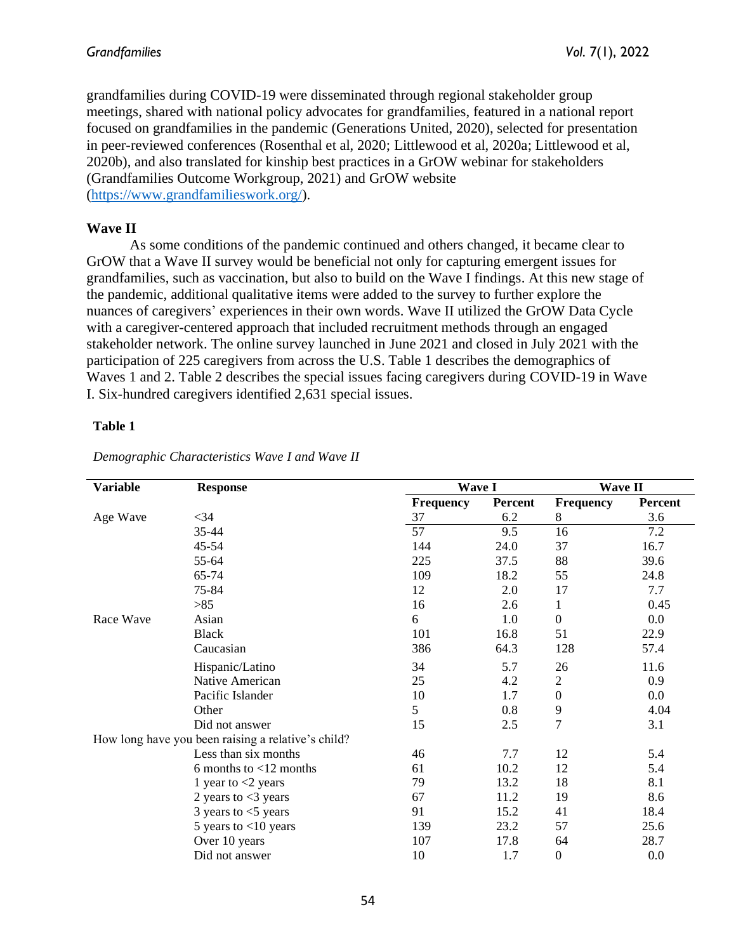grandfamilies during COVID-19 were disseminated through regional stakeholder group meetings, shared with national policy advocates for grandfamilies, featured in a national report focused on grandfamilies in the pandemic (Generations United, 2020), selected for presentation in peer-reviewed conferences (Rosenthal et al, 2020; Littlewood et al, 2020a; Littlewood et al, 2020b), and also translated for kinship best practices in a GrOW webinar for stakeholders (Grandfamilies Outcome Workgroup, 2021) and GrOW website [\(https://www.grandfamilieswork.org/\)](https://www.grandfamilieswork.org/).

#### **Wave II**

As some conditions of the pandemic continued and others changed, it became clear to GrOW that a Wave II survey would be beneficial not only for capturing emergent issues for grandfamilies, such as vaccination, but also to build on the Wave I findings. At this new stage of the pandemic, additional qualitative items were added to the survey to further explore the nuances of caregivers' experiences in their own words. Wave II utilized the GrOW Data Cycle with a caregiver-centered approach that included recruitment methods through an engaged stakeholder network. The online survey launched in June 2021 and closed in July 2021 with the participation of 225 caregivers from across the U.S. Table 1 describes the demographics of Waves 1 and 2. Table 2 describes the special issues facing caregivers during COVID-19 in Wave I. Six-hundred caregivers identified 2,631 special issues.

#### **Table 1**

| <b>Variable</b>                                    | <b>Response</b>           | <b>Wave I</b> |                | <b>Wave II</b>   |                |
|----------------------------------------------------|---------------------------|---------------|----------------|------------------|----------------|
|                                                    |                           | Frequency     | <b>Percent</b> | Frequency        | <b>Percent</b> |
| Age Wave                                           | $<$ 34                    | 37            | 6.2            | 8                | 3.6            |
|                                                    | 35-44                     | 57            | 9.5            | 16               | 7.2            |
|                                                    | 45-54                     | 144           | 24.0           | 37               | 16.7           |
|                                                    | 55-64                     | 225           | 37.5           | 88               | 39.6           |
|                                                    | 65-74                     | 109           | 18.2           | 55               | 24.8           |
|                                                    | 75-84                     | 12            | 2.0            | 17               | 7.7            |
|                                                    | $>85$                     | 16            | 2.6            | 1                | 0.45           |
| Race Wave                                          | Asian                     | 6             | 1.0            | $\boldsymbol{0}$ | 0.0            |
|                                                    | <b>Black</b>              | 101           | 16.8           | 51               | 22.9           |
|                                                    | Caucasian                 | 386           | 64.3           | 128              | 57.4           |
|                                                    | Hispanic/Latino           | 34            | 5.7            | 26               | 11.6           |
|                                                    | Native American           | 25            | 4.2            | $\mathbf{2}$     | 0.9            |
|                                                    | Pacific Islander          | 10            | 1.7            | $\mathbf{0}$     | 0.0            |
|                                                    | Other                     | 5             | 0.8            | 9                | 4.04           |
|                                                    | Did not answer            | 15            | 2.5            | $\overline{7}$   | 3.1            |
| How long have you been raising a relative's child? |                           |               |                |                  |                |
|                                                    | Less than six months      | 46            | 7.7            | 12               | 5.4            |
|                                                    | 6 months to $<$ 12 months | 61            | 10.2           | 12               | 5.4            |
|                                                    | 1 year to $<$ 2 years     | 79            | 13.2           | 18               | 8.1            |
|                                                    | 2 years to $<$ 3 years    | 67            | 11.2           | 19               | 8.6            |
|                                                    | 3 years to $<$ 5 years    | 91            | 15.2           | 41               | 18.4           |
|                                                    | 5 years to $<$ 10 years   | 139           | 23.2           | 57               | 25.6           |
|                                                    | Over 10 years             | 107           | 17.8           | 64               | 28.7           |
|                                                    | Did not answer            | 10            | 1.7            | $\boldsymbol{0}$ | 0.0            |

*Demographic Characteristics Wave I and Wave II*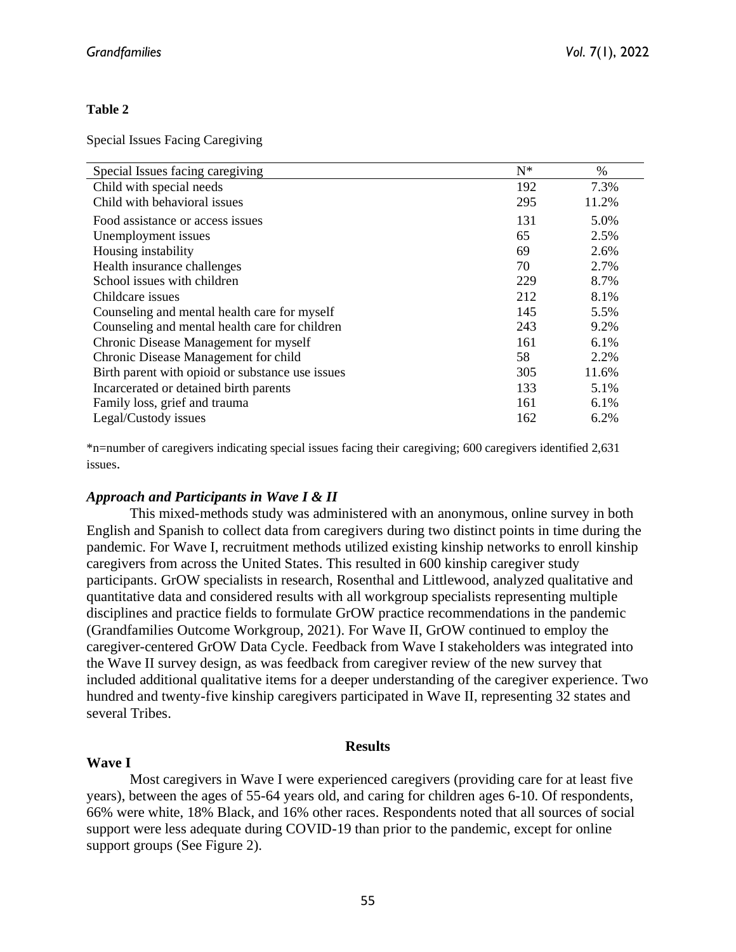#### **Table 2**

Special Issues Facing Caregiving

| Special Issues facing caregiving                 | $N^*$ | $\%$  |
|--------------------------------------------------|-------|-------|
| Child with special needs                         | 192   | 7.3%  |
| Child with behavioral issues                     | 295   | 11.2% |
| Food assistance or access issues                 | 131   | 5.0%  |
| Unemployment issues                              | 65    | 2.5%  |
| Housing instability                              | 69    | 2.6%  |
| Health insurance challenges                      | 70    | 2.7%  |
| School issues with children                      | 229   | 8.7%  |
| Childcare issues                                 | 212   | 8.1%  |
| Counseling and mental health care for myself     | 145   | 5.5%  |
| Counseling and mental health care for children   | 243   | 9.2%  |
| Chronic Disease Management for myself            | 161   | 6.1%  |
| Chronic Disease Management for child             | 58    | 2.2%  |
| Birth parent with opioid or substance use issues | 305   | 11.6% |
| Incarcerated or detained birth parents           | 133   | 5.1%  |
| Family loss, grief and trauma                    | 161   | 6.1%  |
| Legal/Custody issues                             | 162   | 6.2%  |

\*n=number of caregivers indicating special issues facing their caregiving; 600 caregivers identified 2,631 issues.

#### *Approach and Participants in Wave I & II*

This mixed-methods study was administered with an anonymous, online survey in both English and Spanish to collect data from caregivers during two distinct points in time during the pandemic. For Wave I, recruitment methods utilized existing kinship networks to enroll kinship caregivers from across the United States. This resulted in 600 kinship caregiver study participants. GrOW specialists in research, Rosenthal and Littlewood, analyzed qualitative and quantitative data and considered results with all workgroup specialists representing multiple disciplines and practice fields to formulate GrOW practice recommendations in the pandemic (Grandfamilies Outcome Workgroup, 2021). For Wave II, GrOW continued to employ the caregiver-centered GrOW Data Cycle. Feedback from Wave I stakeholders was integrated into the Wave II survey design, as was feedback from caregiver review of the new survey that included additional qualitative items for a deeper understanding of the caregiver experience. Two hundred and twenty-five kinship caregivers participated in Wave II, representing 32 states and several Tribes.

# **Results**

**Wave I**

Most caregivers in Wave I were experienced caregivers (providing care for at least five years), between the ages of 55-64 years old, and caring for children ages 6-10. Of respondents, 66% were white, 18% Black, and 16% other races. Respondents noted that all sources of social support were less adequate during COVID-19 than prior to the pandemic, except for online support groups (See Figure 2).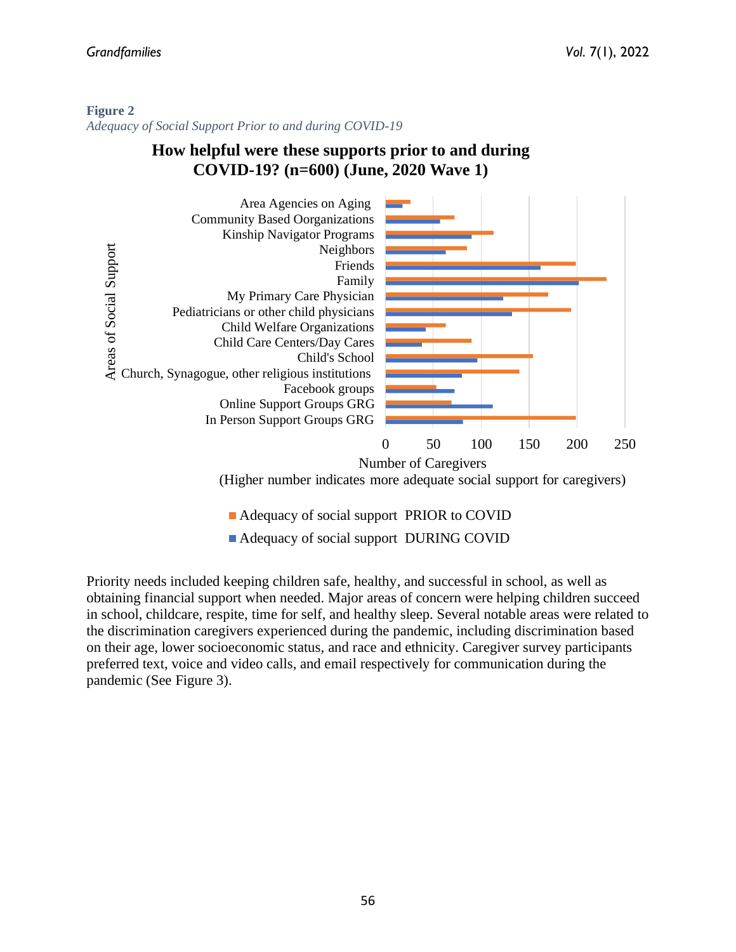#### **Figure 2**

*Adequacy of Social Support Prior to and during COVID-19*

# **How helpful were these supports prior to and during COVID-19? (n=600) (June, 2020 Wave 1)**



(Higher number indicates more adequate social support for caregivers)

- Adequacy of social support PRIOR to COVID
- Adequacy of social support DURING COVID

Priority needs included keeping children safe, healthy, and successful in school, as well as obtaining financial support when needed. Major areas of concern were helping children succeed in school, childcare, respite, time for self, and healthy sleep. Several notable areas were related to the discrimination caregivers experienced during the pandemic, including discrimination based on their age, lower socioeconomic status, and race and ethnicity. Caregiver survey participants preferred text, voice and video calls, and email respectively for communication during the pandemic (See Figure 3).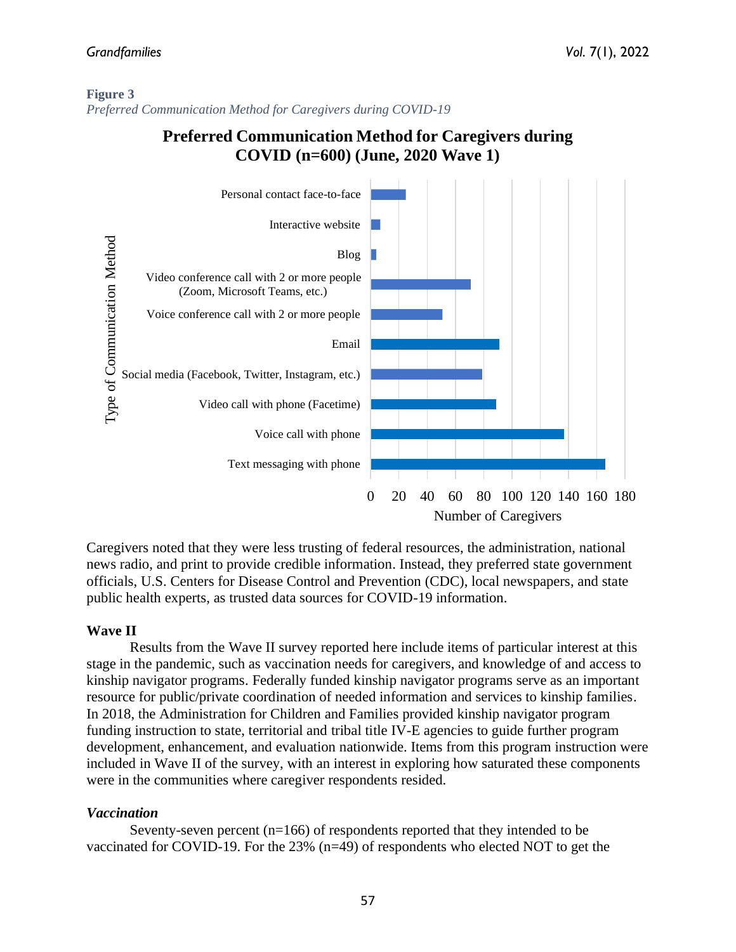### **Figure 3** *Preferred Communication Method for Caregivers during COVID-19*

# **Preferred Communication Method for Caregivers during COVID (n=600) (June, 2020 Wave 1)**



Caregivers noted that they were less trusting of federal resources, the administration, national news radio, and print to provide credible information. Instead, they preferred state government officials, U.S. Centers for Disease Control and Prevention (CDC), local newspapers, and state public health experts, as trusted data sources for COVID-19 information.

## **Wave II**

Results from the Wave II survey reported here include items of particular interest at this stage in the pandemic, such as vaccination needs for caregivers, and knowledge of and access to kinship navigator programs. Federally funded kinship navigator programs serve as an important resource for public/private coordination of needed information and services to kinship families. In 2018, the Administration for Children and Families provided kinship navigator program funding instruction to state, territorial and tribal title IV-E agencies to guide further program development, enhancement, and evaluation nationwide. Items from this program instruction were included in Wave II of the survey, with an interest in exploring how saturated these components were in the communities where caregiver respondents resided.

## *Vaccination*

Seventy-seven percent  $(n=166)$  of respondents reported that they intended to be vaccinated for COVID-19. For the 23% (n=49) of respondents who elected NOT to get the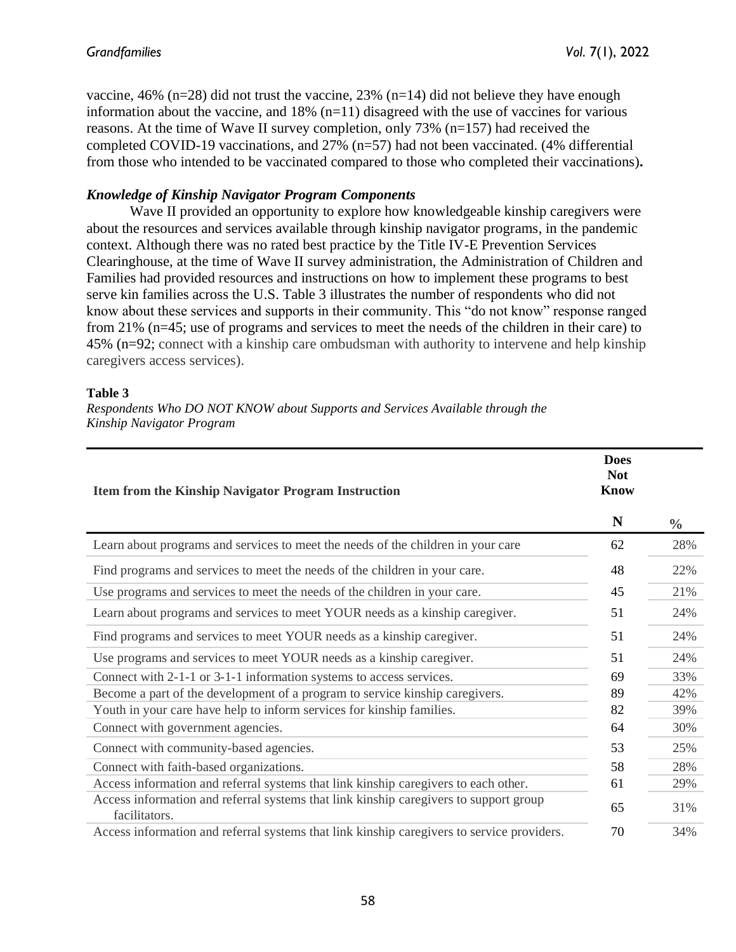vaccine, 46% (n=28) did not trust the vaccine, 23% (n=14) did not believe they have enough information about the vaccine, and  $18\%$  (n=11) disagreed with the use of vaccines for various reasons. At the time of Wave II survey completion, only 73% (n=157) had received the completed COVID-19 vaccinations, and 27% (n=57) had not been vaccinated. (4% differential from those who intended to be vaccinated compared to those who completed their vaccinations)**.**

#### *Knowledge of Kinship Navigator Program Components*

Wave II provided an opportunity to explore how knowledgeable kinship caregivers were about the resources and services available through kinship navigator programs, in the pandemic context. Although there was no rated best practice by the Title IV-E Prevention Services Clearinghouse, at the time of Wave II survey administration, the Administration of Children and Families had provided resources and instructions on how to implement these programs to best serve kin families across the U.S. Table 3 illustrates the number of respondents who did not know about these services and supports in their community. This "do not know" response ranged from 21% (n=45; use of programs and services to meet the needs of the children in their care) to 45% (n=92; connect with a kinship care ombudsman with authority to intervene and help kinship caregivers access services).

#### **Table 3**

*Respondents Who DO NOT KNOW about Supports and Services Available through the Kinship Navigator Program* 

| <b>Item from the Kinship Navigator Program Instruction</b>                                             |    |               |
|--------------------------------------------------------------------------------------------------------|----|---------------|
|                                                                                                        | N  | $\frac{0}{0}$ |
| Learn about programs and services to meet the needs of the children in your care                       | 62 | 28%           |
| Find programs and services to meet the needs of the children in your care.                             | 48 | 22%           |
| Use programs and services to meet the needs of the children in your care.                              | 45 | 21%           |
| Learn about programs and services to meet YOUR needs as a kinship caregiver.                           | 51 | 24%           |
| Find programs and services to meet YOUR needs as a kinship caregiver.                                  | 51 | 24%           |
| Use programs and services to meet YOUR needs as a kinship caregiver.                                   | 51 | 24%           |
| Connect with 2-1-1 or 3-1-1 information systems to access services.                                    | 69 | 33%           |
| Become a part of the development of a program to service kinship caregivers.                           | 89 | 42%           |
| Youth in your care have help to inform services for kinship families.                                  | 82 | 39%           |
| Connect with government agencies.                                                                      | 64 | 30%           |
| Connect with community-based agencies.                                                                 | 53 | 25%           |
| Connect with faith-based organizations.                                                                | 58 | 28%           |
| Access information and referral systems that link kinship caregivers to each other.                    | 61 | 29%           |
| Access information and referral systems that link kinship caregivers to support group<br>facilitators. | 65 | 31%           |
| Access information and referral systems that link kinship caregivers to service providers.             | 70 | 34%           |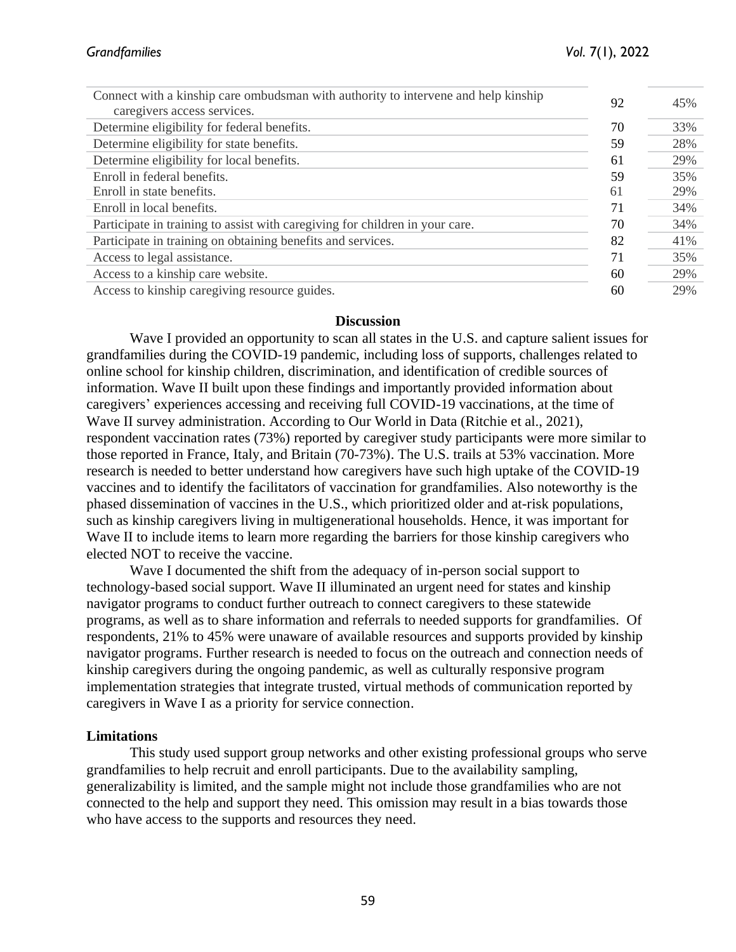| 92 | 45% |
|----|-----|
| 70 | 33% |
| 59 | 28% |
| 61 | 29% |
| 59 | 35% |
| 61 | 29% |
| 71 | 34% |
| 70 | 34% |
| 82 | 41% |
| 71 | 35% |
| 60 | 29% |
| 60 | 29% |
|    |     |

#### **Discussion**

Wave I provided an opportunity to scan all states in the U.S. and capture salient issues for grandfamilies during the COVID-19 pandemic, including loss of supports, challenges related to online school for kinship children, discrimination, and identification of credible sources of information. Wave II built upon these findings and importantly provided information about caregivers' experiences accessing and receiving full COVID-19 vaccinations, at the time of Wave II survey administration. According to Our World in Data (Ritchie et al., 2021), respondent vaccination rates (73%) reported by caregiver study participants were more similar to those reported in France, Italy, and Britain (70-73%). The U.S. trails at 53% vaccination. More research is needed to better understand how caregivers have such high uptake of the COVID-19 vaccines and to identify the facilitators of vaccination for grandfamilies. Also noteworthy is the phased dissemination of vaccines in the U.S., which prioritized older and at-risk populations, such as kinship caregivers living in multigenerational households. Hence, it was important for Wave II to include items to learn more regarding the barriers for those kinship caregivers who elected NOT to receive the vaccine.

Wave I documented the shift from the adequacy of in-person social support to technology-based social support. Wave II illuminated an urgent need for states and kinship navigator programs to conduct further outreach to connect caregivers to these statewide programs, as well as to share information and referrals to needed supports for grandfamilies. Of respondents, 21% to 45% were unaware of available resources and supports provided by kinship navigator programs. Further research is needed to focus on the outreach and connection needs of kinship caregivers during the ongoing pandemic, as well as culturally responsive program implementation strategies that integrate trusted, virtual methods of communication reported by caregivers in Wave I as a priority for service connection.

#### **Limitations**

This study used support group networks and other existing professional groups who serve grandfamilies to help recruit and enroll participants. Due to the availability sampling, generalizability is limited, and the sample might not include those grandfamilies who are not connected to the help and support they need. This omission may result in a bias towards those who have access to the supports and resources they need.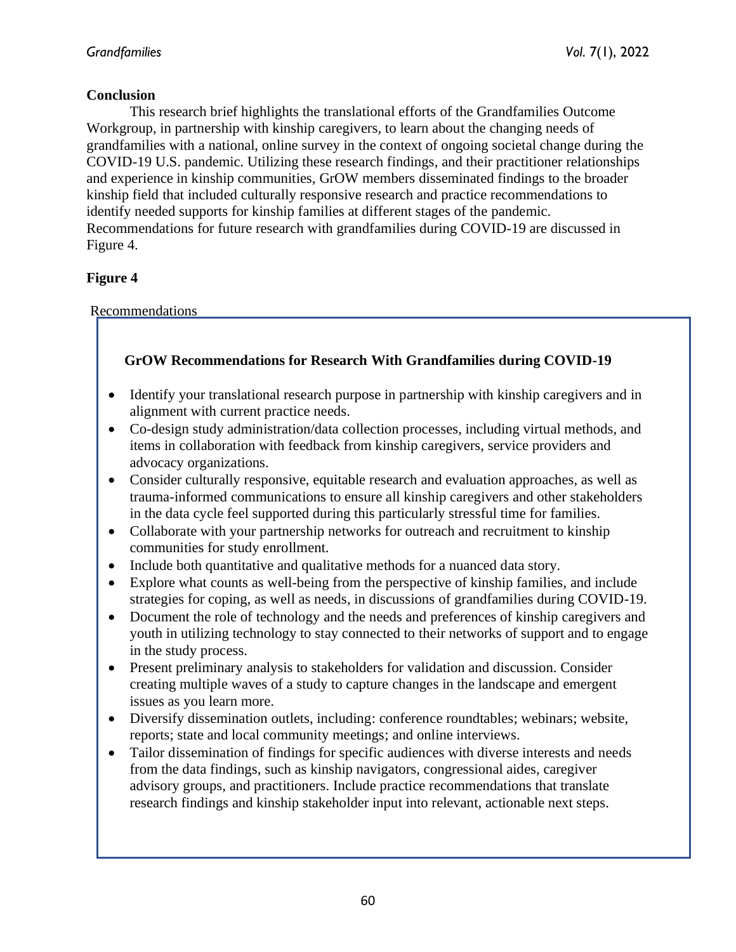## **Conclusion**

This research brief highlights the translational efforts of the Grandfamilies Outcome Workgroup, in partnership with kinship caregivers, to learn about the changing needs of grandfamilies with a national, online survey in the context of ongoing societal change during the COVID-19 U.S. pandemic. Utilizing these research findings, and their practitioner relationships and experience in kinship communities, GrOW members disseminated findings to the broader kinship field that included culturally responsive research and practice recommendations to identify needed supports for kinship families at different stages of the pandemic. Recommendations for future research with grandfamilies during COVID-19 are discussed in Figure 4.

# **Figure 4**

Recommendations

# **GrOW Recommendations for Research With Grandfamilies during COVID-19**

- Identify your translational research purpose in partnership with kinship caregivers and in alignment with current practice needs.
- Co-design study administration/data collection processes, including virtual methods, and items in collaboration with feedback from kinship caregivers, service providers and advocacy organizations.
- Consider culturally responsive, equitable research and evaluation approaches, as well as trauma-informed communications to ensure all kinship caregivers and other stakeholders in the data cycle feel supported during this particularly stressful time for families.
- Collaborate with your partnership networks for outreach and recruitment to kinship communities for study enrollment.
- Include both quantitative and qualitative methods for a nuanced data story.
- Explore what counts as well-being from the perspective of kinship families, and include strategies for coping, as well as needs, in discussions of grandfamilies during COVID-19.
- Document the role of technology and the needs and preferences of kinship caregivers and youth in utilizing technology to stay connected to their networks of support and to engage in the study process.
- Present preliminary analysis to stakeholders for validation and discussion. Consider creating multiple waves of a study to capture changes in the landscape and emergent issues as you learn more.
- Diversify dissemination outlets, including: conference roundtables; webinars; website, reports; state and local community meetings; and online interviews.
- Tailor dissemination of findings for specific audiences with diverse interests and needs from the data findings, such as kinship navigators, congressional aides, caregiver advisory groups, and practitioners. Include practice recommendations that translate research findings and kinship stakeholder input into relevant, actionable next steps.